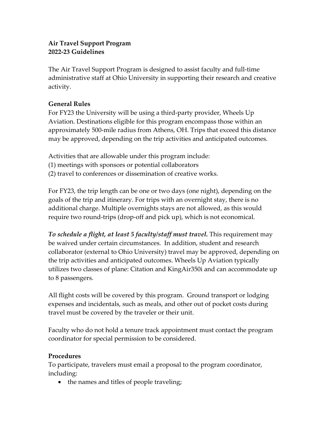## **Air Travel Support Program 2022-23 Guidelines**

The Air Travel Support Program is designed to assist faculty and full-time administrative staff at Ohio University in supporting their research and creative activity.

## **General Rules**

For FY23 the University will be using a third-party provider, Wheels Up Aviation. Destinations eligible for this program encompass those within an approximately 500-mile radius from Athens, OH. Trips that exceed this distance may be approved, depending on the trip activities and anticipated outcomes.

Activities that are allowable under this program include:

(1) meetings with sponsors or potential collaborators

(2) travel to conferences or dissemination of creative works.

For FY23, the trip length can be one or two days (one night), depending on the goals of the trip and itinerary. For trips with an overnight stay, there is no additional charge. Multiple overnights stays are not allowed, as this would require two round-trips (drop-off and pick up), which is not economical.

*To schedule a flight, at least 5 faculty/staff must travel.* This requirement may be waived under certain circumstances. In addition, student and research collaborator (external to Ohio University) travel may be approved, depending on the trip activities and anticipated outcomes. Wheels Up Aviation typically utilizes two classes of plane: Citation and KingAir350i and can accommodate up to 8 passengers.

All flight costs will be covered by this program. Ground transport or lodging expenses and incidentals, such as meals, and other out of pocket costs during travel must be covered by the traveler or their unit.

Faculty who do not hold a tenure track appointment must contact the program coordinator for special permission to be considered.

## **Procedures**

To participate, travelers must email a proposal to the program coordinator, including:

• the names and titles of people traveling;